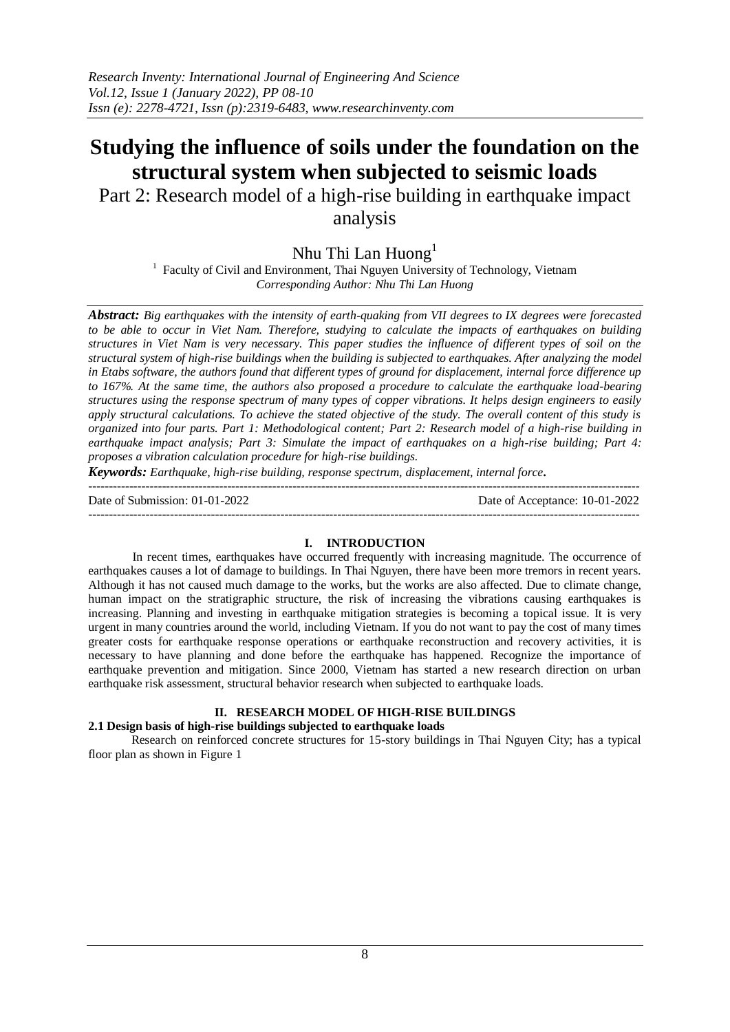# **Studying the influence of soils under the foundation on the structural system when subjected to seismic loads**

Part 2: Research model of a high-rise building in earthquake impact analysis

Nhu Thi Lan Huong<sup>1</sup>

<sup>1</sup> Faculty of Civil and Environment, Thai Nguyen University of Technology, Vietnam *Corresponding Author: Nhu Thi Lan Huong*

*Abstract: Big earthquakes with the intensity of earth-quaking from VII degrees to IX degrees were forecasted to be able to occur in Viet Nam. Therefore, studying to calculate the impacts of earthquakes on building structures in Viet Nam is very necessary. This paper studies the influence of different types of soil on the structural system of high-rise buildings when the building is subjected to earthquakes. After analyzing the model in Etabs software, the authors found that different types of ground for displacement, internal force difference up to 167%. At the same time, the authors also proposed a procedure to calculate the earthquake load-bearing structures using the response spectrum of many types of copper vibrations. It helps design engineers to easily apply structural calculations. To achieve the stated objective of the study. The overall content of this study is organized into four parts. Part 1: Methodological content; Part 2: Research model of a high-rise building in earthquake impact analysis; Part 3: Simulate the impact of earthquakes on a high-rise building; Part 4: proposes a vibration calculation procedure for high-rise buildings.*

*Keywords: Earthquake, high-rise building, response spectrum, displacement, internal force.*

---------------------------------------------------------------------------------------------------------------------------------------

Date of Submission: 01-01-2022 Date of Acceptance: 10-01-2022

 $-1\leq i\leq n-1\leq n-1\leq n-1\leq n-1\leq n-1\leq n-1\leq n-1\leq n-1\leq n-1\leq n-1\leq n-1\leq n-1\leq n-1\leq n-1\leq n-1\leq n-1\leq n-1\leq n-1\leq n-1\leq n-1\leq n-1\leq n-1\leq n-1\leq n-1\leq n-1\leq n-1\leq n-1\leq n-1\leq n-1\leq n-1\leq n-1\leq n-1\leq n-1\leq n-1\leq n-1\leq n$ 

## **I. INTRODUCTION**

In recent times, earthquakes have occurred frequently with increasing magnitude. The occurrence of earthquakes causes a lot of damage to buildings. In Thai Nguyen, there have been more tremors in recent years. Although it has not caused much damage to the works, but the works are also affected. Due to climate change, human impact on the stratigraphic structure, the risk of increasing the vibrations causing earthquakes is increasing. Planning and investing in earthquake mitigation strategies is becoming a topical issue. It is very urgent in many countries around the world, including Vietnam. If you do not want to pay the cost of many times greater costs for earthquake response operations or earthquake reconstruction and recovery activities, it is necessary to have planning and done before the earthquake has happened. Recognize the importance of earthquake prevention and mitigation. Since 2000, Vietnam has started a new research direction on urban earthquake risk assessment, structural behavior research when subjected to earthquake loads.

## **II. RESEARCH MODEL OF HIGH-RISE BUILDINGS**

## **2.1 Design basis of high-rise buildings subjected to earthquake loads**

Research on reinforced concrete structures for 15-story buildings in Thai Nguyen City; has a typical floor plan as shown in Figure 1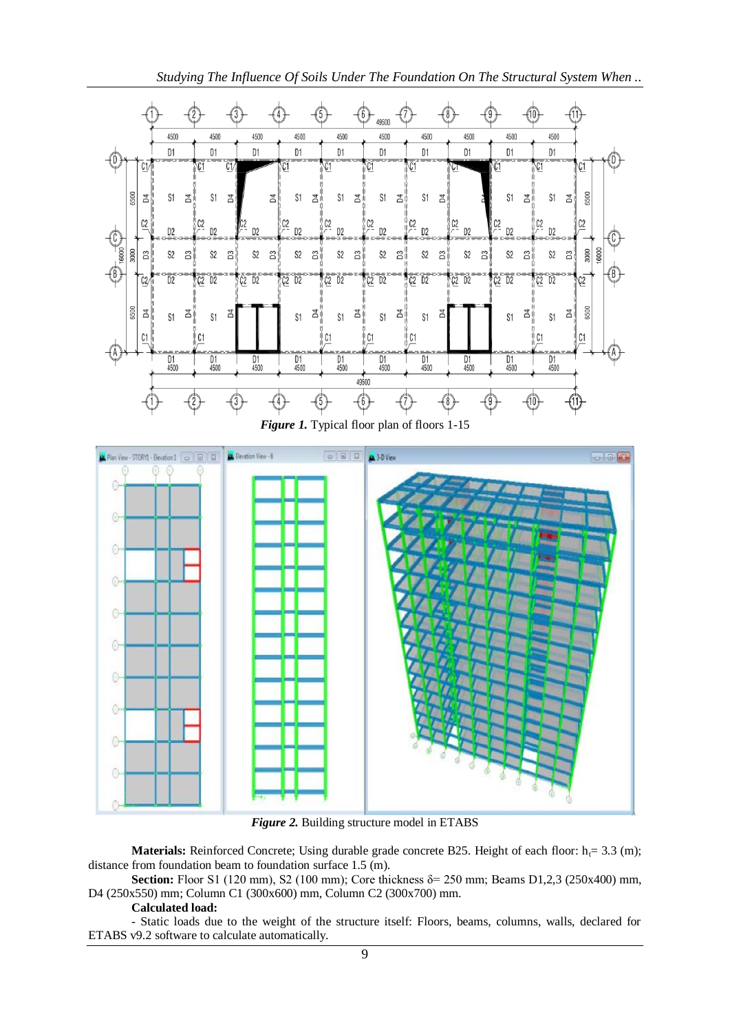*Studying The Influence Of Soils Under The Foundation On The Structural System When ..*





*Figure 2.* Building structure model in ETABS

**Materials:** Reinforced Concrete; Using durable grade concrete B25. Height of each floor:  $h_f = 3.3$  (m); distance from foundation beam to foundation surface 1.5 (m).

Section: Floor S1 (120 mm), S2 (100 mm); Core thickness δ= 250 mm; Beams D1,2,3 (250x400) mm, D4 (250x550) mm; Column C1 (300x600) mm, Column C2 (300x700) mm.

## **Calculated load:**

- Static loads due to the weight of the structure itself: Floors, beams, columns, walls, declared for ETABS v9.2 software to calculate automatically.